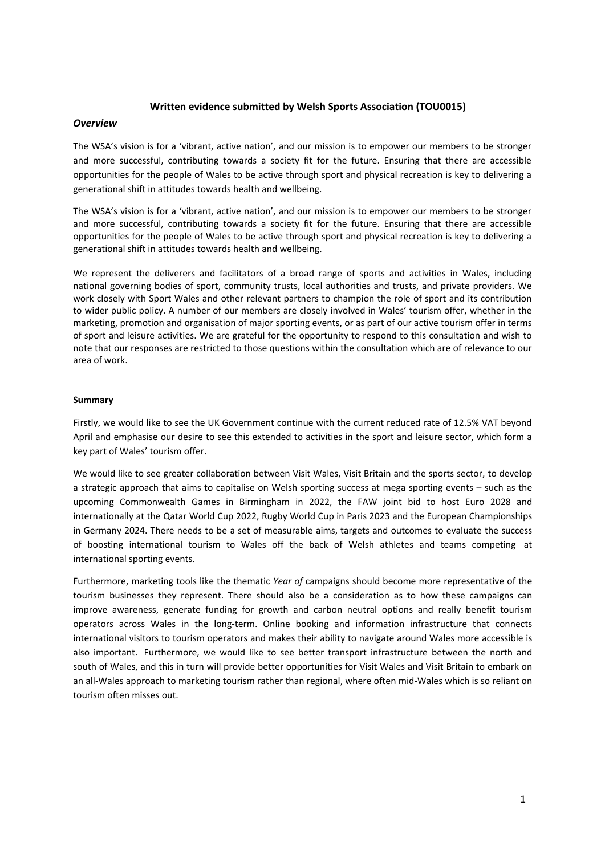#### **Written evidence submitted by Welsh Sports Association (TOU0015)**

#### *Overview*

The WSA's vision is for a 'vibrant, active nation', and our mission is to empower our members to be stronger and more successful, contributing towards a society fit for the future. Ensuring that there are accessible opportunities for the people of Wales to be active through sport and physical recreation is key to delivering a generational shift in attitudes towards health and wellbeing.

The WSA's vision is for a 'vibrant, active nation', and our mission is to empower our members to be stronger and more successful, contributing towards a society fit for the future. Ensuring that there are accessible opportunities for the people of Wales to be active through sport and physical recreation is key to delivering a generational shift in attitudes towards health and wellbeing.

We represent the deliverers and facilitators of a broad range of sports and activities in Wales, including national governing bodies of sport, community trusts, local authorities and trusts, and private providers. We work closely with Sport Wales and other relevant partners to champion the role of sport and its contribution to wider public policy. A number of our members are closely involved in Wales' tourism offer, whether in the marketing, promotion and organisation of major sporting events, or as part of our active tourism offer in terms of sport and leisure activities. We are grateful for the opportunity to respond to this consultation and wish to note that our responses are restricted to those questions within the consultation which are of relevance to our area of work.

#### **Summary**

Firstly, we would like to see the UK Government continue with the current reduced rate of 12.5% VAT beyond April and emphasise our desire to see this extended to activities in the sport and leisure sector, which form a key part of Wales' tourism offer.

We would like to see greater collaboration between Visit Wales, Visit Britain and the sports sector, to develop a strategic approach that aims to capitalise on Welsh sporting success at mega sporting events – such as the upcoming Commonwealth Games in Birmingham in 2022, the FAW joint bid to host Euro 2028 and internationally at the Qatar World Cup 2022, Rugby World Cup in Paris 2023 and the European Championships in Germany 2024. There needs to be a set of measurable aims, targets and outcomes to evaluate the success of boosting international tourism to Wales off the back of Welsh athletes and teams competing at international sporting events.

Furthermore, marketing tools like the thematic *Year of* campaigns should become more representative of the tourism businesses they represent. There should also be a consideration as to how these campaigns can improve awareness, generate funding for growth and carbon neutral options and really benefit tourism operators across Wales in the long-term. Online booking and information infrastructure that connects international visitors to tourism operators and makes their ability to navigate around Wales more accessible is also important. Furthermore, we would like to see better transport infrastructure between the north and south of Wales, and this in turn will provide better opportunities for Visit Wales and Visit Britain to embark on an all-Wales approach to marketing tourism rather than regional, where often mid-Wales which is so reliant on tourism often misses out.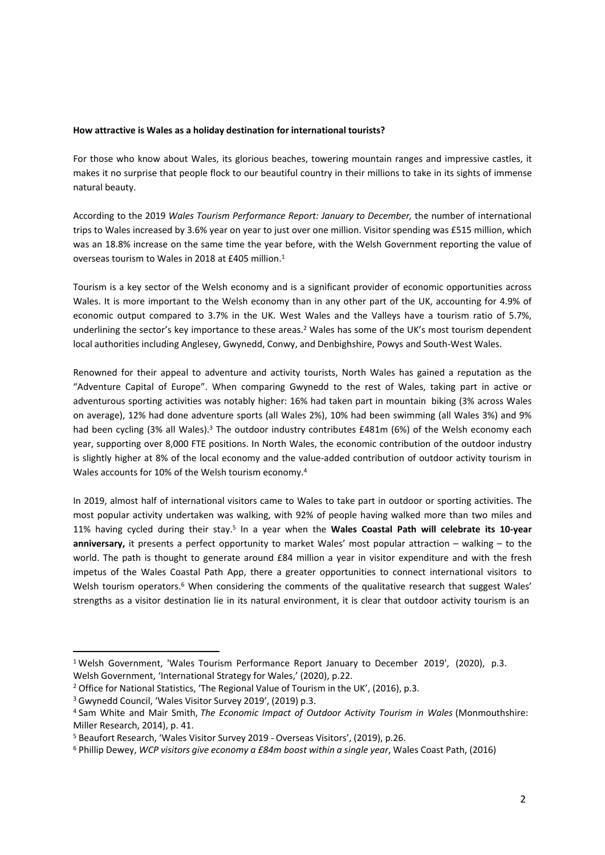#### **How attractive is Wales as a holiday destination for international tourists?**

For those who know about Wales, its glorious beaches, towering mountain ranges and impressive castles, it makes it no surprise that people flock to our beautiful country in their millions to take in its sights of immense natural beauty.

According to the 2019 *Wales Tourism Performance Report: January to December,* the number of international trips to Wales increased by 3.6% year on year to just over one million. Visitor spending was £515 million, which was an 18.8% increase on the same time the year before, with the Welsh Government reporting the value of overseas tourism to Wales in 2018 at £405 million.<sup>1</sup>

Tourism is a key sector of the Welsh economy and is a significant provider of economic opportunities across Wales. It is more important to the Welsh economy than in any other part of the UK, accounting for 4.9% of economic output compared to 3.7% in the UK. West Wales and the Valleys have a tourism ratio of 5.7%, underlining the sector's key importance to these areas.<sup>2</sup> Wales has some of the UK's most tourism dependent local authorities including Anglesey, Gwynedd, Conwy, and Denbighshire, Powys and South-West Wales.

Renowned for their appeal to adventure and activity tourists, North Wales has gained a reputation as the "Adventure Capital of Europe". When comparing Gwynedd to the rest of Wales, taking part in active or adventurous sporting activities was notably higher: 16% had taken part in mountain biking (3% across Wales on average), 12% had done adventure sports (all Wales 2%), 10% had been swimming (all Wales 3%) and 9% had been cycling (3% all Wales).<sup>3</sup> The outdoor industry contributes  $£481m$  (6%) of the Welsh economy each year, supporting over 8,000 FTE positions. In North Wales, the economic contribution of the outdoor industry is slightly higher at 8% of the local economy and the value-added contribution of outdoor activity tourism in Wales accounts for 10% of the Welsh tourism economy.<sup>4</sup>

In 2019, almost half of international visitors came to Wales to take part in outdoor or sporting activities. The most popular activity undertaken was walking, with 92% of people having walked more than two miles and 11% having cycled during their stay.<sup>5</sup> In a year when the **Wales Coastal Path will celebrate its 10-year anniversary,** it presents a perfect opportunity to market Wales' most popular attraction – walking – to the world. The path is thought to generate around £84 million a year in visitor expenditure and with the fresh impetus of the Wales Coastal Path App, there a greater opportunities to connect international visitors to Welsh tourism operators.<sup>6</sup> When considering the comments of the qualitative research that suggest Wales' strengths as a visitor destination lie in its natural environment, it is clear that outdoor activity tourism is an

<sup>1</sup> Welsh Government, 'Wales Tourism Performance Report January to December 2019', (2020), p.3. Welsh Government, 'International Strategy for Wales,' (2020), p.22.

<sup>&</sup>lt;sup>2</sup> Office for National Statistics, 'The Regional Value of Tourism in the UK', (2016), p.3.

<sup>3</sup> Gwynedd Council, 'Wales Visitor Survey 2019', (2019) p.3.

<sup>4</sup> Sam White and Mair Smith, *The Economic Impact of Outdoor Activity Tourism in Wales* (Monmouthshire: Miller Research, 2014), p. 41.

<sup>5</sup> Beaufort Research, 'Wales Visitor Survey 2019 - Overseas Visitors', (2019), p.26.

<sup>6</sup> Phillip Dewey, *WCP visitors give economy a £84m boost within a single year*, Wales Coast Path, (2016)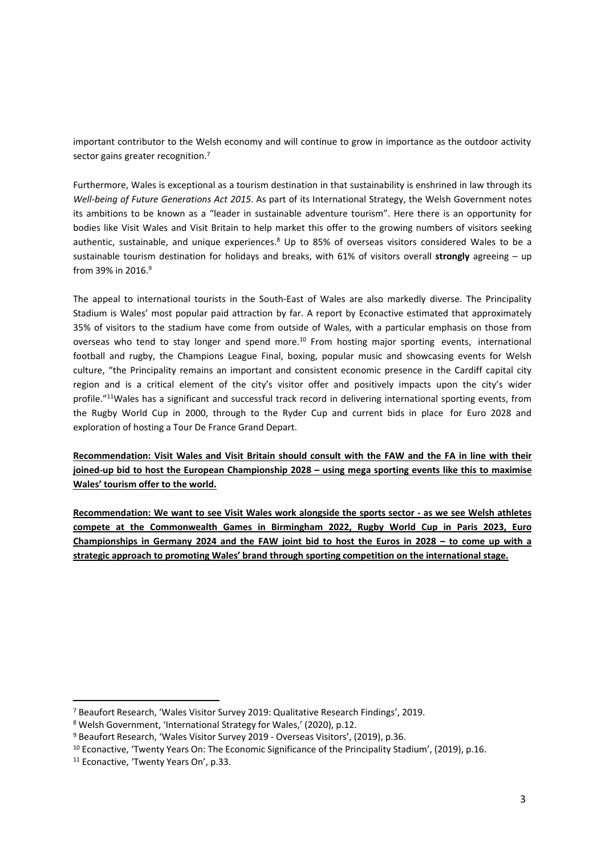important contributor to the Welsh economy and will continue to grow in importance as the outdoor activity sector gains greater recognition.<sup>7</sup>

Furthermore, Wales is exceptional as a tourism destination in that sustainability is enshrined in law through its *Well-being of Future Generations Act 2015*. As part of its International Strategy, the Welsh Government notes its ambitions to be known as a "leader in sustainable adventure tourism". Here there is an opportunity for bodies like Visit Wales and Visit Britain to help market this offer to the growing numbers of visitors seeking authentic, sustainable, and unique experiences.<sup>8</sup> Up to 85% of overseas visitors considered Wales to be a sustainable tourism destination for holidays and breaks, with 61% of visitors overall **strongly** agreeing – up from 39% in 2016.<sup>9</sup>

The appeal to international tourists in the South-East of Wales are also markedly diverse. The Principality Stadium is Wales' most popular paid attraction by far. A report by Econactive estimated that approximately 35% of visitors to the stadium have come from outside of Wales, with a particular emphasis on those from overseas who tend to stay longer and spend more.<sup>10</sup> From hosting major sporting events, international football and rugby, the Champions League Final, boxing, popular music and showcasing events for Welsh culture, "the Principality remains an important and consistent economic presence in the Cardiff capital city region and is a critical element of the city's visitor offer and positively impacts upon the city's wider profile."<sup>11</sup>Wales has a significant and successful track record in delivering international sporting events, from the Rugby World Cup in 2000, through to the Ryder Cup and current bids in place for Euro 2028 and exploration of hosting a Tour De France Grand Depart.

Recommendation: Visit Wales and Visit Britain should consult with the FAW and the FA in line with their **joined-up bid to host the European Championship 2028 – using mega sporting events like this to maximise Wales' tourism offer to the world.**

Recommendation: We want to see Visit Wales work alongside the sports sector - as we see Welsh athletes **compete at the Commonwealth Games in Birmingham 2022, Rugby World Cup in Paris 2023, Euro** Championships in Germany 2024 and the FAW joint bid to host the Euros in 2028 – to come up with a **strategic approach to promoting Wales' brand through sporting competition on the international stage.**

<sup>7</sup> Beaufort Research, 'Wales Visitor Survey 2019: Qualitative Research Findings', 2019.

<sup>8</sup> Welsh Government, 'International Strategy for Wales,' (2020), p.12.

<sup>9</sup> Beaufort Research, 'Wales Visitor Survey 2019 - Overseas Visitors', (2019), p.36.

<sup>&</sup>lt;sup>10</sup> Econactive, 'Twenty Years On: The Economic Significance of the Principality Stadium', (2019), p.16.

<sup>11</sup> Econactive, 'Twenty Years On', p.33.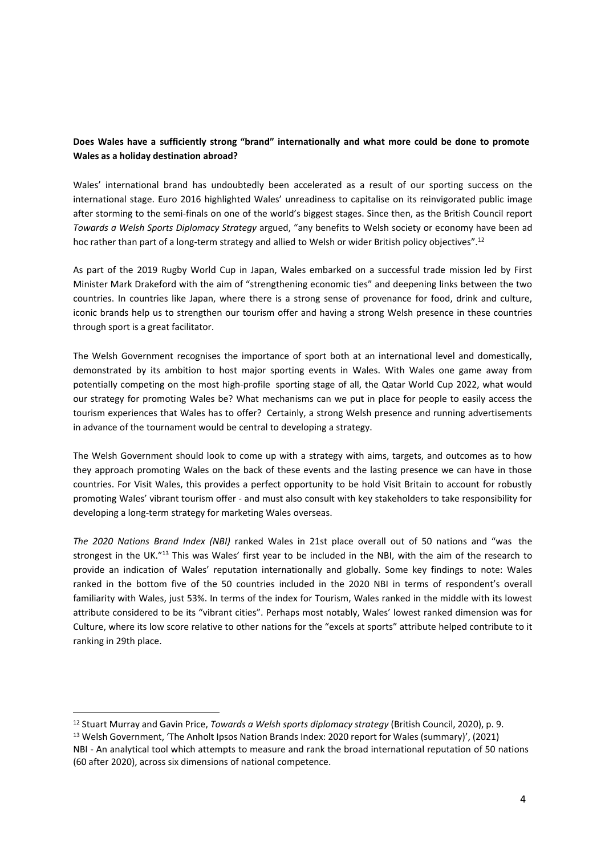### **Does Wales have a sufficiently strong "brand" internationally and what more could be done to promote Wales as a holiday destination abroad?**

Wales' international brand has undoubtedly been accelerated as a result of our sporting success on the international stage. Euro 2016 highlighted Wales' unreadiness to capitalise on its reinvigorated public image after storming to the semi-finals on one of the world's biggest stages. Since then, as the British Council report *Towards a Welsh Sports Diplomacy Strategy* argued, "any benefits to Welsh society or economy have been ad hoc rather than part of a long-term strategy and allied to Welsh or wider British policy objectives".<sup>12</sup>

As part of the 2019 Rugby World Cup in Japan, Wales embarked on a successful trade mission led by First Minister Mark Drakeford with the aim of "strengthening economic ties" and deepening links between the two countries. In countries like Japan, where there is a strong sense of provenance for food, drink and culture, iconic brands help us to strengthen our tourism offer and having a strong Welsh presence in these countries through sport is a great facilitator.

The Welsh Government recognises the importance of sport both at an international level and domestically, demonstrated by its ambition to host major sporting events in Wales. With Wales one game away from potentially competing on the most high-profile sporting stage of all, the Qatar World Cup 2022, what would our strategy for promoting Wales be? What mechanisms can we put in place for people to easily access the tourism experiences that Wales has to offer? Certainly, a strong Welsh presence and running advertisements in advance of the tournament would be central to developing a strategy.

The Welsh Government should look to come up with a strategy with aims, targets, and outcomes as to how they approach promoting Wales on the back of these events and the lasting presence we can have in those countries. For Visit Wales, this provides a perfect opportunity to be hold Visit Britain to account for robustly promoting Wales' vibrant tourism offer - and must also consult with key stakeholders to take responsibility for developing a long-term strategy for marketing Wales overseas.

*The 2020 Nations Brand Index (NBI)* ranked Wales in 21st place overall out of 50 nations and "was the strongest in the UK."<sup>13</sup> This was Wales' first year to be included in the NBI, with the aim of the research to provide an indication of Wales' reputation internationally and globally. Some key findings to note: Wales ranked in the bottom five of the 50 countries included in the 2020 NBI in terms of respondent's overall familiarity with Wales, just 53%. In terms of the index for Tourism, Wales ranked in the middle with its lowest attribute considered to be its "vibrant cities". Perhaps most notably, Wales' lowest ranked dimension was for Culture, where its low score relative to other nations for the "excels at sports" attribute helped contribute to it ranking in 29th place.

<sup>12</sup> Stuart Murray and Gavin Price, *Towards a Welsh sports diplomacy strategy* (British Council, 2020), p. 9.

<sup>13</sup> Welsh Government, 'The Anholt Ipsos Nation Brands Index: 2020 report for Wales (summary)', (2021)

NBI - An analytical tool which attempts to measure and rank the broad international reputation of 50 nations (60 after 2020), across six dimensions of national competence.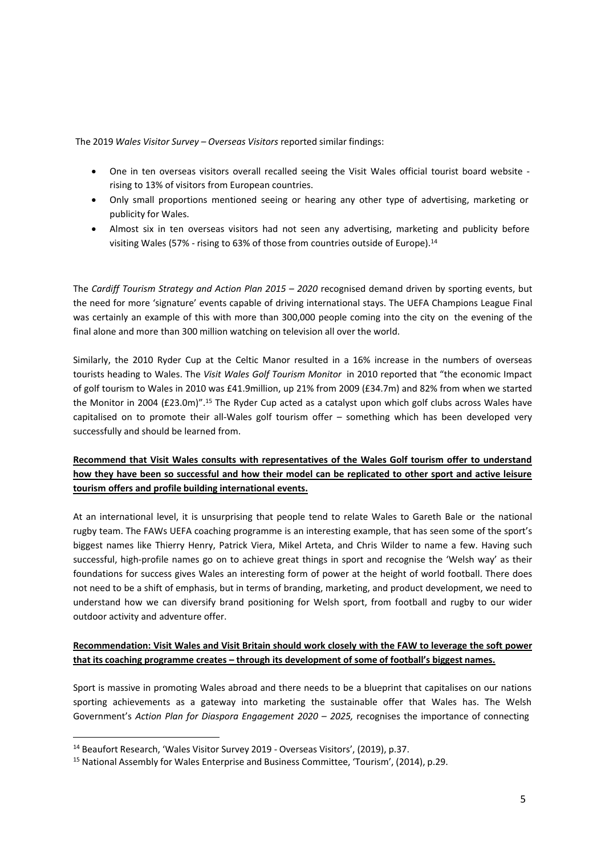The 2019 *Wales Visitor Survey – Overseas Visitors* reported similar findings:

- One in ten overseas visitors overall recalled seeing the Visit Wales official tourist board website rising to 13% of visitors from European countries.
- Only small proportions mentioned seeing or hearing any other type of advertising, marketing or publicity for Wales.
- Almost six in ten overseas visitors had not seen any advertising, marketing and publicity before visiting Wales (57% - rising to 63% of those from countries outside of Europe).<sup>14</sup>

The *Cardiff Tourism Strategy and Action Plan 2015 – 2020* recognised demand driven by sporting events, but the need for more 'signature' events capable of driving international stays. The UEFA Champions League Final was certainly an example of this with more than 300,000 people coming into the city on the evening of the final alone and more than 300 million watching on television all over the world.

Similarly, the 2010 Ryder Cup at the Celtic Manor resulted in a 16% increase in the numbers of overseas tourists heading to Wales. The *Visit Wales Golf Tourism Monitor* in 2010 reported that "the economic Impact of golf tourism to Wales in 2010 was £41.9million, up 21% from 2009 (£34.7m) and 82% from when we started the Monitor in 2004 (£23.0m)".<sup>15</sup> The Ryder Cup acted as a catalyst upon which golf clubs across Wales have capitalised on to promote their all-Wales golf tourism offer – something which has been developed very successfully and should be learned from.

# **Recommend that Visit Wales consults with representatives of the Wales Golf tourism offer to understand** how they have been so successful and how their model can be replicated to other sport and active leisure **tourism offers and profile building international events.**

At an international level, it is unsurprising that people tend to relate Wales to Gareth Bale or the national rugby team. The FAWs UEFA coaching programme is an interesting example, that has seen some of the sport's biggest names like Thierry Henry, Patrick Viera, Mikel Arteta, and Chris Wilder to name a few. Having such successful, high-profile names go on to achieve great things in sport and recognise the 'Welsh way' as their foundations for success gives Wales an interesting form of power at the height of world football. There does not need to be a shift of emphasis, but in terms of branding, marketing, and product development, we need to understand how we can diversify brand positioning for Welsh sport, from football and rugby to our wider outdoor activity and adventure offer.

### **Recommendation: Visit Wales and Visit Britain should work closely with the FAW to leverage the soft power that its coaching programme creates – through its development of some of football's biggest names.**

Sport is massive in promoting Wales abroad and there needs to be a blueprint that capitalises on our nations sporting achievements as a gateway into marketing the sustainable offer that Wales has. The Welsh Government's *Action Plan for Diaspora Engagement 2020 – 2025,* recognises the importance of connecting

<sup>14</sup> Beaufort Research, 'Wales Visitor Survey 2019 - Overseas Visitors', (2019), p.37.

<sup>&</sup>lt;sup>15</sup> National Assembly for Wales Enterprise and Business Committee, 'Tourism', (2014), p.29.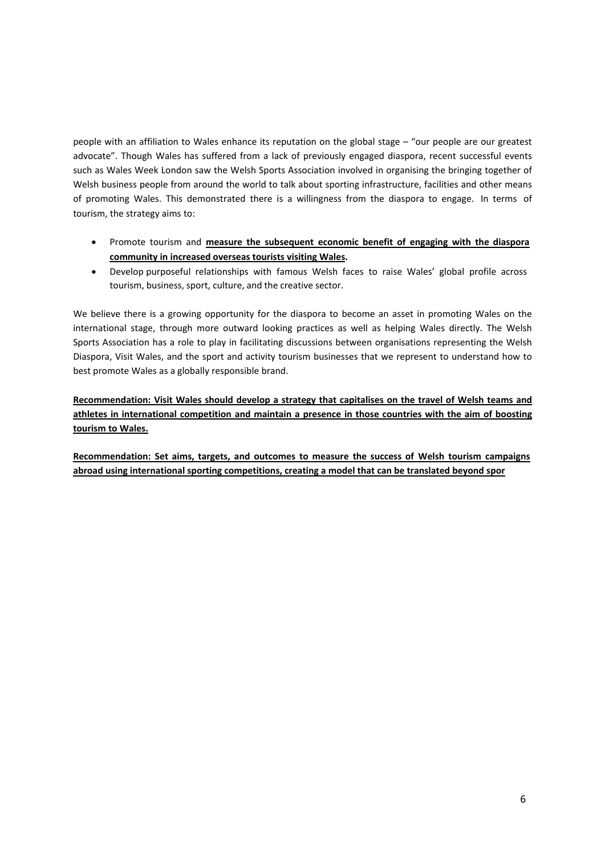people with an affiliation to Wales enhance its reputation on the global stage – "our people are our greatest advocate". Though Wales has suffered from a lack of previously engaged diaspora, recent successful events such as Wales Week London saw the Welsh Sports Association involved in organising the bringing together of Welsh business people from around the world to talk about sporting infrastructure, facilities and other means of promoting Wales. This demonstrated there is a willingness from the diaspora to engage. In terms of tourism, the strategy aims to:

- Promote tourism and **measure the subsequent economic benefit of engaging with the diaspora community in increased overseas tourists visiting Wales.**
- Develop purposeful relationships with famous Welsh faces to raise Wales' global profile across tourism, business, sport, culture, and the creative sector.

We believe there is a growing opportunity for the diaspora to become an asset in promoting Wales on the international stage, through more outward looking practices as well as helping Wales directly. The Welsh Sports Association has a role to play in facilitating discussions between organisations representing the Welsh Diaspora, Visit Wales, and the sport and activity tourism businesses that we represent to understand how to best promote Wales as a globally responsible brand.

**Recommendation: Visit Wales should develop a strategy that capitalises on the travel of Welsh teams and athletes in international competition and maintain a presence in those countries with the aim of boosting tourism to Wales.**

**Recommendation: Set aims, targets, and outcomes to measure the success of Welsh tourism campaigns abroad using international sporting competitions, creating a model that can be translated beyond spor**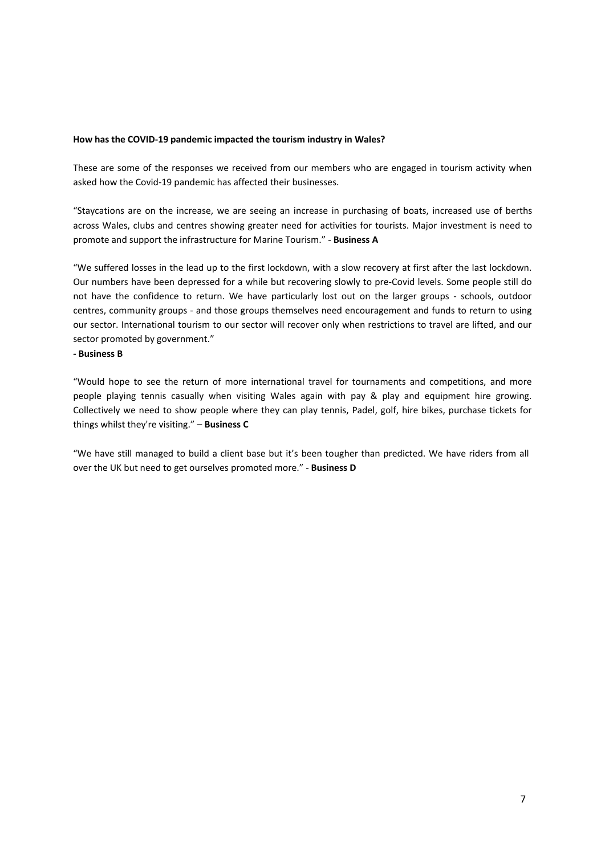#### **How has the COVID-19 pandemic impacted the tourism industry in Wales?**

These are some of the responses we received from our members who are engaged in tourism activity when asked how the Covid-19 pandemic has affected their businesses.

"Staycations are on the increase, we are seeing an increase in purchasing of boats, increased use of berths across Wales, clubs and centres showing greater need for activities for tourists. Major investment is need to promote and support the infrastructure for Marine Tourism." - **Business A**

"We suffered losses in the lead up to the first lockdown, with a slow recovery at first after the last lockdown. Our numbers have been depressed for a while but recovering slowly to pre-Covid levels. Some people still do not have the confidence to return. We have particularly lost out on the larger groups - schools, outdoor centres, community groups - and those groups themselves need encouragement and funds to return to using our sector. International tourism to our sector will recover only when restrictions to travel are lifted, and our sector promoted by government."

#### **- Business B**

"Would hope to see the return of more international travel for tournaments and competitions, and more people playing tennis casually when visiting Wales again with pay & play and equipment hire growing. Collectively we need to show people where they can play tennis, Padel, golf, hire bikes, purchase tickets for things whilst they're visiting." – **Business C**

"We have still managed to build a client base but it's been tougher than predicted. We have riders from all over the UK but need to get ourselves promoted more." - **Business D**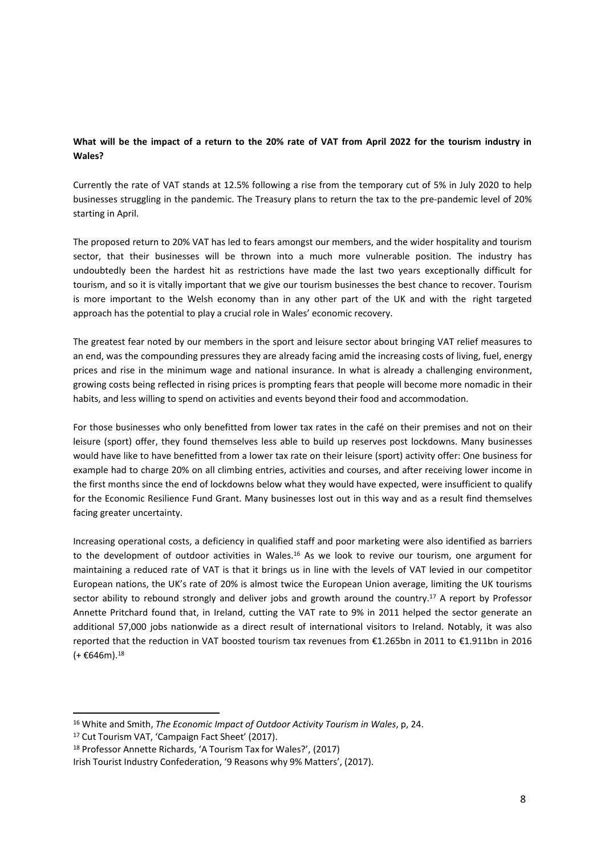### What will be the impact of a return to the 20% rate of VAT from April 2022 for the tourism industry in **Wales?**

Currently the rate of VAT stands at 12.5% following a rise from the temporary cut of 5% in July 2020 to help businesses struggling in the pandemic. The Treasury plans to return the tax to the pre-pandemic level of 20% starting in April.

The proposed return to 20% VAT has led to fears amongst our members, and the wider hospitality and tourism sector, that their businesses will be thrown into a much more vulnerable position. The industry has undoubtedly been the hardest hit as restrictions have made the last two years exceptionally difficult for tourism, and so it is vitally important that we give our tourism businesses the best chance to recover. Tourism is more important to the Welsh economy than in any other part of the UK and with the right targeted approach has the potential to play a crucial role in Wales' economic recovery.

The greatest fear noted by our members in the sport and leisure sector about bringing VAT relief measures to an end, was the compounding pressures they are already facing amid the increasing costs of living, fuel, energy prices and rise in the minimum wage and national insurance. In what is already a challenging environment, growing costs being reflected in rising prices is prompting fears that people will become more nomadic in their habits, and less willing to spend on activities and events beyond their food and accommodation.

For those businesses who only benefitted from lower tax rates in the café on their premises and not on their leisure (sport) offer, they found themselves less able to build up reserves post lockdowns. Many businesses would have like to have benefitted from a lower tax rate on their leisure (sport) activity offer: One business for example had to charge 20% on all climbing entries, activities and courses, and after receiving lower income in the first months since the end of lockdowns below what they would have expected, were insufficient to qualify for the Economic Resilience Fund Grant. Many businesses lost out in this way and as a result find themselves facing greater uncertainty.

Increasing operational costs, a deficiency in qualified staff and poor marketing were also identified as barriers to the development of outdoor activities in Wales.<sup>16</sup> As we look to revive our tourism, one argument for maintaining a reduced rate of VAT is that it brings us in line with the levels of VAT levied in our competitor European nations, the UK's rate of 20% is almost twice the European Union average, limiting the UK tourisms sector ability to rebound strongly and deliver jobs and growth around the country.<sup>17</sup> A report by Professor Annette Pritchard found that, in Ireland, cutting the VAT rate to 9% in 2011 helped the sector generate an additional 57,000 jobs nationwide as a direct result of international visitors to Ireland. Notably, it was also reported that the reduction in VAT boosted tourism tax revenues from €1.265bn in 2011 to €1.911bn in 2016  $(+\epsilon 646m).$ <sup>18</sup>

<sup>16</sup> White and Smith, *The Economic Impact of Outdoor Activity Tourism in Wales*, p, 24.

<sup>17</sup> Cut Tourism VAT, 'Campaign Fact Sheet' (2017).

<sup>18</sup> Professor Annette Richards, 'A Tourism Tax for Wales?', (2017)

Irish Tourist Industry Confederation, '9 Reasons why 9% Matters', (2017).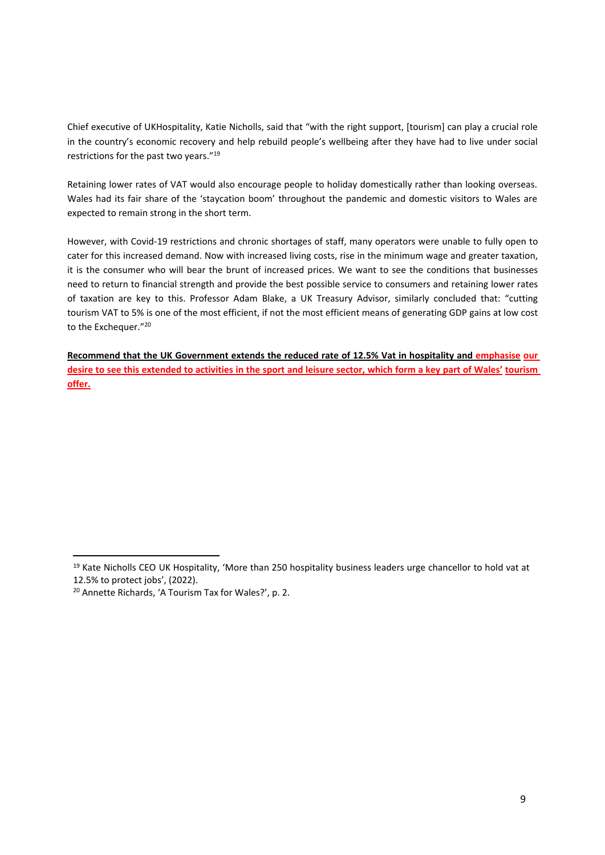Chief executive of UKHospitality, Katie Nicholls, said that "with the right support, [tourism] can play a crucial role in the country's economic recovery and help rebuild people's wellbeing after they have had to live under social restrictions for the past two years."<sup>19</sup>

Retaining lower rates of VAT would also encourage people to holiday domestically rather than looking overseas. Wales had its fair share of the 'staycation boom' throughout the pandemic and domestic visitors to Wales are expected to remain strong in the short term.

However, with Covid-19 restrictions and chronic shortages of staff, many operators were unable to fully open to cater for this increased demand. Now with increased living costs, rise in the minimum wage and greater taxation, it is the consumer who will bear the brunt of increased prices. We want to see the conditions that businesses need to return to financial strength and provide the best possible service to consumers and retaining lower rates of taxation are key to this. Professor Adam Blake, a UK Treasury Advisor, similarly concluded that: "cutting tourism VAT to 5% is one of the most efficient, if not the most efficient means of generating GDP gains at low cost to the Exchequer."<sup>20</sup>

**Recommend that the UK Government extends the reduced rate of 12.5% Vat in hospitality and emphasise our** desire to see this extended to activities in the sport and leisure sector, which form a key part of Wales' tourism **offer.**

<sup>&</sup>lt;sup>19</sup> Kate Nicholls CEO UK Hospitality, 'More than 250 hospitality business leaders urge chancellor to hold vat at 12.5% to protect jobs', (2022).

<sup>20</sup> Annette Richards, 'A Tourism Tax for Wales?', p. 2.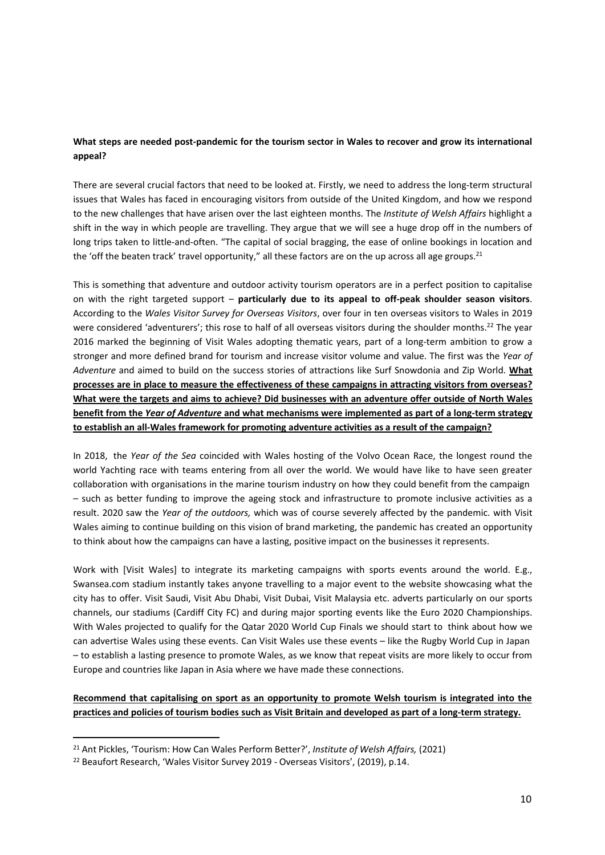### **What steps are needed post-pandemic for the tourism sector in Wales to recover and grow its international appeal?**

There are several crucial factors that need to be looked at. Firstly, we need to address the long-term structural issues that Wales has faced in encouraging visitors from outside of the United Kingdom, and how we respond to the new challenges that have arisen over the last eighteen months. The *Institute of Welsh Affairs* highlight a shift in the way in which people are travelling. They argue that we will see a huge drop off in the numbers of long trips taken to little-and-often. "The capital of social bragging, the ease of online bookings in location and the 'off the beaten track' travel opportunity," all these factors are on the up across all age groups.<sup>21</sup>

This is something that adventure and outdoor activity tourism operators are in a perfect position to capitalise on with the right targeted support – **particularly due to its appeal to off-peak shoulder season visitors**. According to the *Wales Visitor Survey for Overseas Visitors*, over four in ten overseas visitors to Wales in 2019 were considered 'adventurers'; this rose to half of all overseas visitors during the shoulder months.<sup>22</sup> The year 2016 marked the beginning of Visit Wales adopting thematic years, part of a long-term ambition to grow a stronger and more defined brand for tourism and increase visitor volume and value. The first was the *Year of Adventure* and aimed to build on the success stories of attractions like Surf Snowdonia and Zip World. **What processes are in place to measure the effectiveness of these campaigns in attracting visitors from overseas?** What were the targets and aims to achieve? Did businesses with an adventure offer outside of North Wales **benefit from the** *Year of Adventure* **and what mechanisms were implemented as part of a long-term strategy to establish an all-Wales framework for promoting adventure activities as a result of the campaign?**

In 2018, the *Year of the Sea* coincided with Wales hosting of the Volvo Ocean Race, the longest round the world Yachting race with teams entering from all over the world. We would have like to have seen greater collaboration with organisations in the marine tourism industry on how they could benefit from the campaign – such as better funding to improve the ageing stock and infrastructure to promote inclusive activities as a result. 2020 saw the *Year of the outdoors,* which was of course severely affected by the pandemic. with Visit Wales aiming to continue building on this vision of brand marketing, the pandemic has created an opportunity to think about how the campaigns can have a lasting, positive impact on the businesses it represents.

Work with [Visit Wales] to integrate its marketing campaigns with sports events around the world. E.g., Swansea.com stadium instantly takes anyone travelling to a major event to the website showcasing what the city has to offer. Visit Saudi, Visit Abu Dhabi, Visit Dubai, Visit Malaysia etc. adverts particularly on our sports channels, our stadiums (Cardiff City FC) and during major sporting events like the Euro 2020 Championships. With Wales projected to qualify for the Qatar 2020 World Cup Finals we should start to think about how we can advertise Wales using these events. Can Visit Wales use these events – like the Rugby World Cup in Japan – to establish a lasting presence to promote Wales, as we know that repeat visits are more likely to occur from Europe and countries like Japan in Asia where we have made these connections.

# **Recommend that capitalising on sport as an opportunity to promote Welsh tourism is integrated into the** practices and policies of tourism bodies such as Visit Britain and developed as part of a long-term strategy.

<sup>21</sup> Ant Pickles, 'Tourism: How Can Wales Perform Better?', *Institute of Welsh Affairs,* (2021)

<sup>22</sup> Beaufort Research, 'Wales Visitor Survey 2019 - Overseas Visitors', (2019), p.14.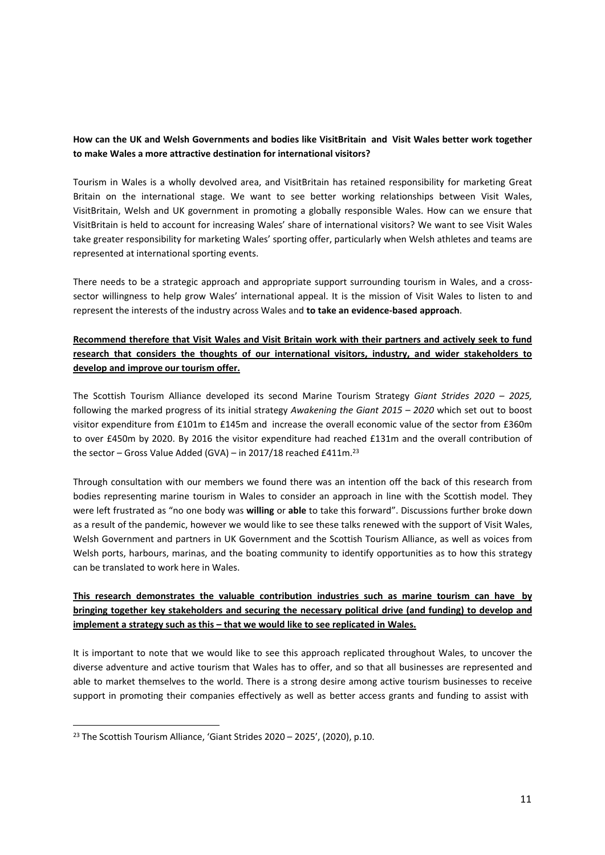### **How can the UK and Welsh Governments and bodies like VisitBritain and Visit Wales better work together to make Wales a more attractive destination for international visitors?**

Tourism in Wales is a wholly devolved area, and VisitBritain has retained responsibility for marketing Great Britain on the international stage. We want to see better working relationships between Visit Wales, VisitBritain, Welsh and UK government in promoting a globally responsible Wales. How can we ensure that VisitBritain is held to account for increasing Wales' share of international visitors? We want to see Visit Wales take greater responsibility for marketing Wales' sporting offer, particularly when Welsh athletes and teams are represented at international sporting events.

There needs to be a strategic approach and appropriate support surrounding tourism in Wales, and a crosssector willingness to help grow Wales' international appeal. It is the mission of Visit Wales to listen to and represent the interests of the industry across Wales and **to take an evidence-based approach**.

# **Recommend therefore that Visit Wales and Visit Britain work with their partners and actively seek to fund research that considers the thoughts of our international visitors, industry, and wider stakeholders to develop and improve our tourism offer.**

The Scottish Tourism Alliance developed its second Marine Tourism Strategy *Giant Strides 2020 – 2025,* following the marked progress of its initial strategy *Awakening the Giant 2015 – 2020* which set out to boost visitor expenditure from £101m to £145m and increase the overall economic value of the sector from £360m to over £450m by 2020. By 2016 the visitor expenditure had reached £131m and the overall contribution of the sector – Gross Value Added (GVA) – in 2017/18 reached £411m.<sup>23</sup>

Through consultation with our members we found there was an intention off the back of this research from bodies representing marine tourism in Wales to consider an approach in line with the Scottish model. They were left frustrated as "no one body was **willing** or **able** to take this forward". Discussions further broke down as a result of the pandemic, however we would like to see these talks renewed with the support of Visit Wales, Welsh Government and partners in UK Government and the Scottish Tourism Alliance, as well as voices from Welsh ports, harbours, marinas, and the boating community to identify opportunities as to how this strategy can be translated to work here in Wales.

# **This research demonstrates the valuable contribution industries such as marine tourism can have by bringing together key stakeholders and securing the necessary political drive (and funding) to develop and implement a strategy such as this – that we would like to see replicated in Wales.**

It is important to note that we would like to see this approach replicated throughout Wales, to uncover the diverse adventure and active tourism that Wales has to offer, and so that all businesses are represented and able to market themselves to the world. There is a strong desire among active tourism businesses to receive support in promoting their companies effectively as well as better access grants and funding to assist with

<sup>&</sup>lt;sup>23</sup> The Scottish Tourism Alliance, 'Giant Strides 2020 - 2025', (2020), p.10.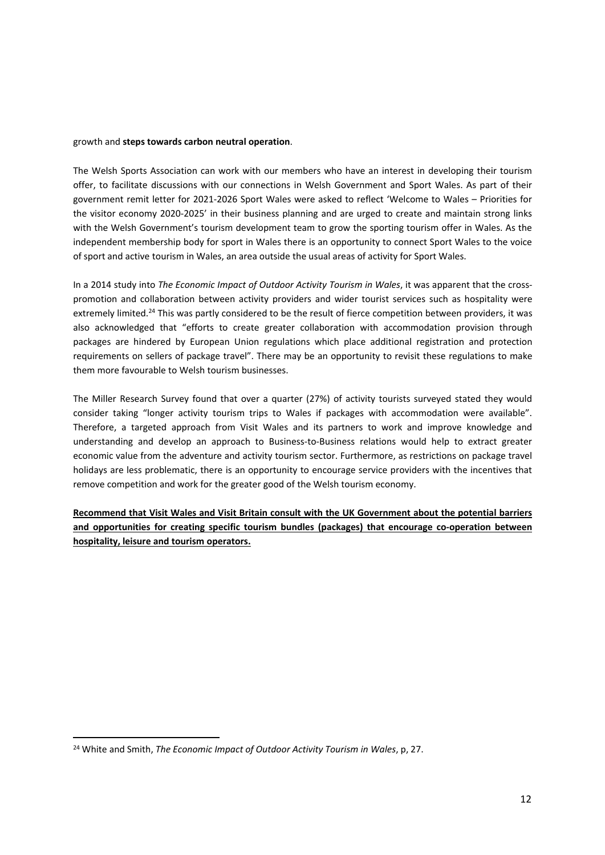#### growth and **steps towards carbon neutral operation**.

The Welsh Sports Association can work with our members who have an interest in developing their tourism offer, to facilitate discussions with our connections in Welsh Government and Sport Wales. As part of their government remit letter for 2021-2026 Sport Wales were asked to reflect 'Welcome to Wales – Priorities for the visitor economy 2020-2025' in their business planning and are urged to create and maintain strong links with the Welsh Government's tourism development team to grow the sporting tourism offer in Wales. As the independent membership body for sport in Wales there is an opportunity to connect Sport Wales to the voice of sport and active tourism in Wales, an area outside the usual areas of activity for Sport Wales.

In a 2014 study into *The Economic Impact of Outdoor Activity Tourism in Wales*, it was apparent that the crosspromotion and collaboration between activity providers and wider tourist services such as hospitality were extremely limited.<sup>24</sup> This was partly considered to be the result of fierce competition between providers, it was also acknowledged that "efforts to create greater collaboration with accommodation provision through packages are hindered by European Union regulations which place additional registration and protection requirements on sellers of package travel". There may be an opportunity to revisit these regulations to make them more favourable to Welsh tourism businesses.

The Miller Research Survey found that over a quarter (27%) of activity tourists surveyed stated they would consider taking "longer activity tourism trips to Wales if packages with accommodation were available". Therefore, a targeted approach from Visit Wales and its partners to work and improve knowledge and understanding and develop an approach to Business-to-Business relations would help to extract greater economic value from the adventure and activity tourism sector. Furthermore, as restrictions on package travel holidays are less problematic, there is an opportunity to encourage service providers with the incentives that remove competition and work for the greater good of the Welsh tourism economy.

**Recommend that Visit Wales and Visit Britain consult with the UK Government about the potential barriers and opportunities for creating specific tourism bundles (packages) that encourage co-operation between hospitality, leisure and tourism operators.**

<sup>24</sup> White and Smith, *The Economic Impact of Outdoor Activity Tourism in Wales*, p, 27.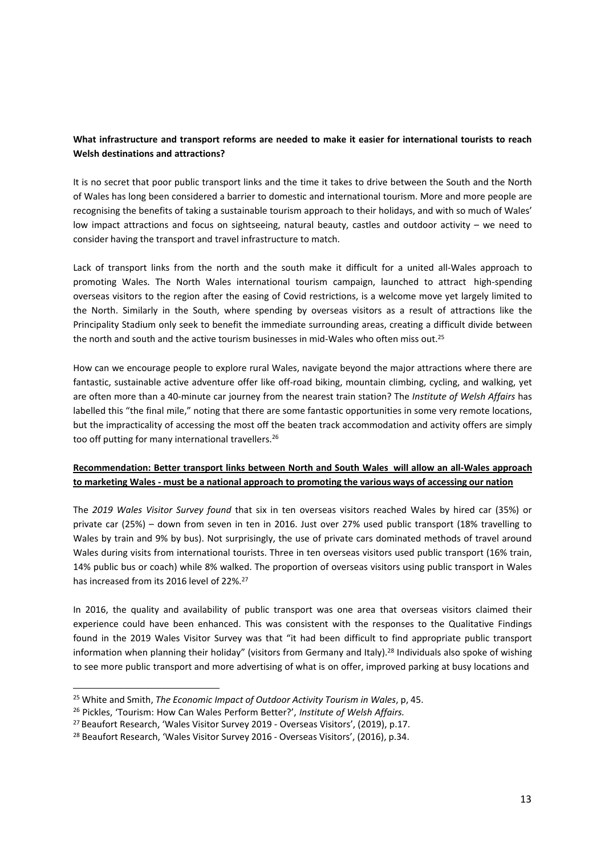### **What infrastructure and transport reforms are needed to make it easier for international tourists to reach Welsh destinations and attractions?**

It is no secret that poor public transport links and the time it takes to drive between the South and the North of Wales has long been considered a barrier to domestic and international tourism. More and more people are recognising the benefits of taking a sustainable tourism approach to their holidays, and with so much of Wales' low impact attractions and focus on sightseeing, natural beauty, castles and outdoor activity – we need to consider having the transport and travel infrastructure to match.

Lack of transport links from the north and the south make it difficult for a united all-Wales approach to promoting Wales. The North Wales international tourism campaign, launched to attract high-spending overseas visitors to the region after the easing of Covid restrictions, is a welcome move yet largely limited to the North. Similarly in the South, where spending by overseas visitors as a result of attractions like the Principality Stadium only seek to benefit the immediate surrounding areas, creating a difficult divide between the north and south and the active tourism businesses in mid-Wales who often miss out.<sup>25</sup>

How can we encourage people to explore rural Wales, navigate beyond the major attractions where there are fantastic, sustainable active adventure offer like off-road biking, mountain climbing, cycling, and walking, yet are often more than a 40-minute car journey from the nearest train station? The *Institute of Welsh Affairs* has labelled this "the final mile," noting that there are some fantastic opportunities in some very remote locations, but the impracticality of accessing the most off the beaten track accommodation and activity offers are simply too off putting for many international travellers.<sup>26</sup>

### **Recommendation: Better transport links between North and South Wales will allow an all-Wales approach** to marketing Wales - must be a national approach to promoting the various ways of accessing our nation

The *2019 Wales Visitor Survey found* that six in ten overseas visitors reached Wales by hired car (35%) or private car (25%) – down from seven in ten in 2016. Just over 27% used public transport (18% travelling to Wales by train and 9% by bus). Not surprisingly, the use of private cars dominated methods of travel around Wales during visits from international tourists. Three in ten overseas visitors used public transport (16% train, 14% public bus or coach) while 8% walked. The proportion of overseas visitors using public transport in Wales has increased from its 2016 level of 22%.<sup>27</sup>

In 2016, the quality and availability of public transport was one area that overseas visitors claimed their experience could have been enhanced. This was consistent with the responses to the Qualitative Findings found in the 2019 Wales Visitor Survey was that "it had been difficult to find appropriate public transport information when planning their holiday" (visitors from Germany and Italy).<sup>28</sup> Individuals also spoke of wishing to see more public transport and more advertising of what is on offer, improved parking at busy locations and

<sup>25</sup> White and Smith, *The Economic Impact of Outdoor Activity Tourism in Wales*, p, 45.

<sup>26</sup> Pickles, 'Tourism: How Can Wales Perform Better?', *Institute of Welsh Affairs.*

<sup>27</sup> Beaufort Research, 'Wales Visitor Survey 2019 - Overseas Visitors', (2019), p.17.

<sup>28</sup> Beaufort Research, 'Wales Visitor Survey 2016 - Overseas Visitors', (2016), p.34.